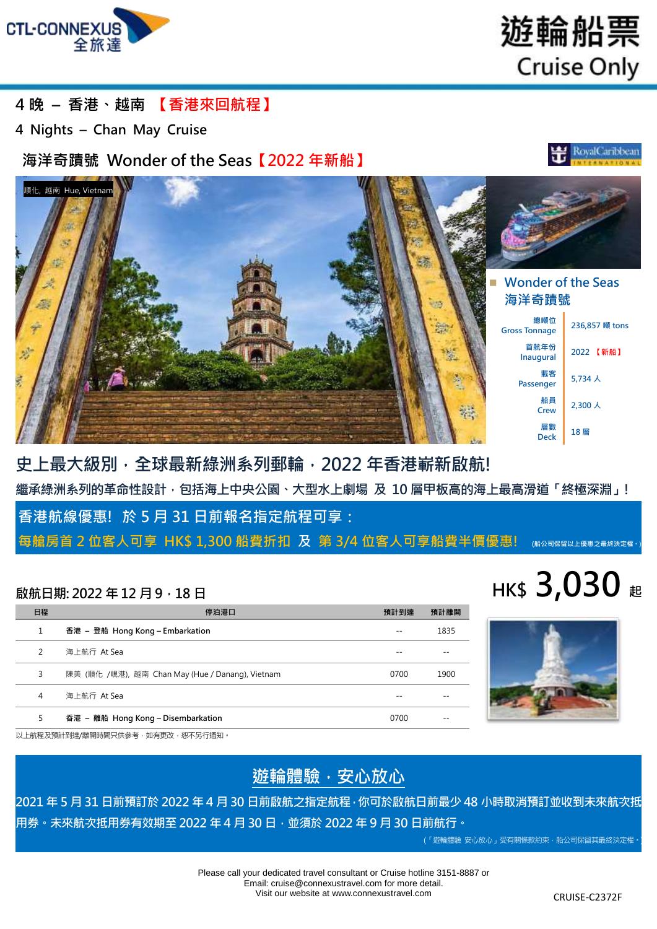

遊輪船票 **Cruise Only** 

## **4 晚 – 香港、越南 【香港來回航程】**

**4 Nights – Chan May Cruise**

## **海洋奇蹟號 Wonder of the Seas【2022 年新船】**





## **史上最大級別,全球最新綠洲系列郵輪,2022 年香港嶄新啟航! 繼承綠洲系列的革命性設計,包括海上中央公園、大型水上劇場 及 10 層甲板高的海上最高滑道「終極深淵」!**

**香港航線優惠! 於 5 月 31 日前報名指定航程可享:** 

**每艙房首 2 位客人可享 HK\$ 1,300 船費折扣 及 第 3/4 位客人可享船費半價優惠! (船公司保留以上優惠之最終決定權。**)

| 日程             | 停泊港口                                             | 預計到達 | 預計離開 |
|----------------|--------------------------------------------------|------|------|
| 1              | 香港 – 登船 Hong Kong – Embarkation                  |      | 1835 |
| $\mathfrak{D}$ | 海上航行 At Sea                                      |      |      |
| 3              | 陳美 (順化 /峴港), 越南 Chan May (Hue / Danang), Vietnam | 0700 | 1900 |
| 4              | 海上航行 At Sea                                      |      |      |
| 5              | 香港 – 離船 Hong Kong – Disembarkation               | 0700 |      |





以上航程及預計到達/離開時間只供參考,如有更改,恕不另行通知。

## **遊輪體驗,安心放心**

**2021 年 5 月 31 日前預訂於 2022 年 4 月 30 日前啟航之指定航程,你可於啟航日前最少 48 小時取消預訂並收到未來航次抵 用券。未來航次抵用券有效期至 2022 年 4 月 30 日,並須於 2022 年 9 月 30 日前航行。**

(「遊輪體驗 安心放心」受有關條款約束,船公司保留其最終決定權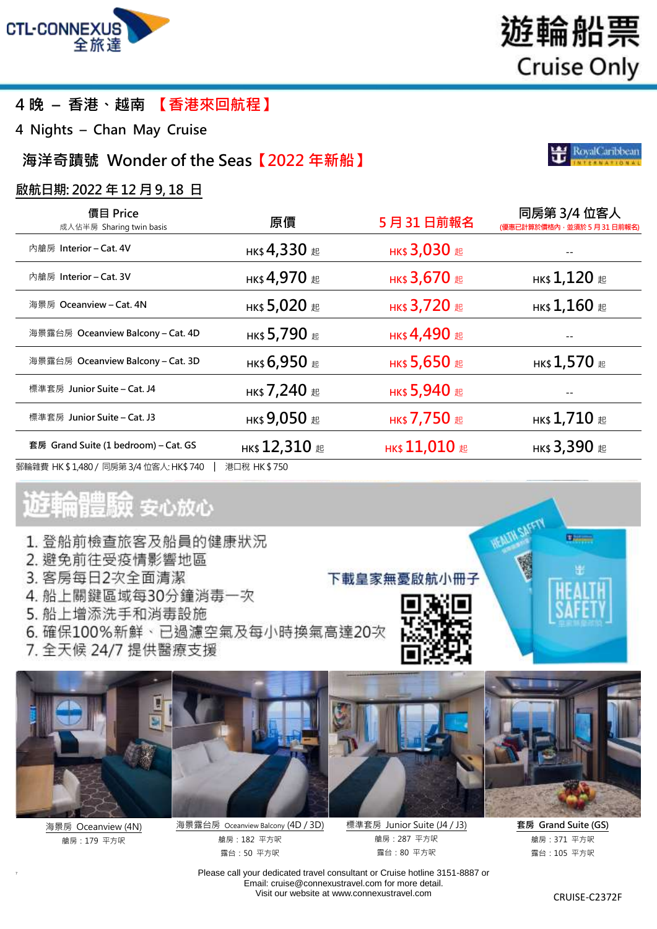

## **4 晚 – 香港、越南 【香港來回航程】**

**4 Nights – Chan May Cruise**

## **海洋奇蹟號 Wonder of the Seas【2022 年新船】**

### **啟航日期: 2022 年 12 月 9, 18 日**

| 價目 Price<br>成人佔半房 Sharing twin basis     | 原價              | 5月31日前報名            | 同房第 3/4 位客人<br>(優惠已計算於價格內,並須於 5 月 31 日前報名)     |
|------------------------------------------|-----------------|---------------------|------------------------------------------------|
| 內艙房 Interior – Cat. 4V                   | нк\$ 4,330 #    | нк\$ 3,030 起        |                                                |
| 內艙房 Interior – Cat. 3V                   | нк\$ 4,970 #    | нк\$ 3,670 #        | нк\$ $1,120$ #                                 |
| 海景房 Oceanview - Cat. 4N                  | нк\$ 5,020 #    | нк\$ 3,720 #        | нк $$1,160$ æ                                  |
| 海景露台房 Oceanview Balcony - Cat. 4D        | нк\$ 5,790 #    | <b>нк\$ 4,490 起</b> |                                                |
| 海景露台房 Oceanview Balcony – Cat. 3D        | нк\$ 6,950 #    | нк\$ 5,650 #        | нк\$ $1,570$ $\scriptstyle\rm \scriptstyle \&$ |
| 標準套房 Junior Suite – Cat. J4              | нк\$ 7,240 #    | нк\$ 5,940 #        |                                                |
| 標準套房 Junior Suite – Cat. J3              | нк\$ 9,050 #    | нк\$ 7,750 #        | нк $$1,710$ $\scriptstyle{\rm \pm 0}$          |
| 套房 Grand Suite (1 bedroom) – Cat. GS     | нк\$ 12,310 $E$ | нк\$ 11,010 $#$     | нк\$ 3,390 #                                   |
| 郵輪雜費 HK \$ 1,480 / 同房第 3/4 位客人: HK\$ 740 | 港口稅 HK\$750     |                     |                                                |

# 遊輪體驗 安心放心

- 1. 登船前檢查旅客及船員的健康狀況
- 2. 避免前往受疫情影響地區
- 3. 客房每日2次全面清潔
- 4. 船上關鍵區域每30分鐘消毒一次
- 5. 船上增添洗手和消毒設施
- 6. 確保100%新鮮、已過濾空氣及每小時換氣高達20次
- 7. 全天候 24/7 提供醫療支援



海景房 Oceanview (4N) 艙房:179 平方呎

7



海景露台房 Oceanview Balcony (4D / 3D) 艙房:182 平方呎 露台:50 平方呎

標準套房 Junior Suite (J4 / J3) 艙房:287 平方呎 露台:80 平方呎

下載皇家無憂啟航小冊子

**套房 Grand Suite (GS)** 艙房:371 平方呎 露台:105 平方呎

**Children** 

Please call your dedicated travel consultant or Cruise hotline 3151-8887 or Email[: cruise@connexustravel.com](mailto:cruise@connexustravel.com) for more detail. Visit our website at [www.connexustravel.com](http://www.connexustravel.com/) CRUISE-C2372F